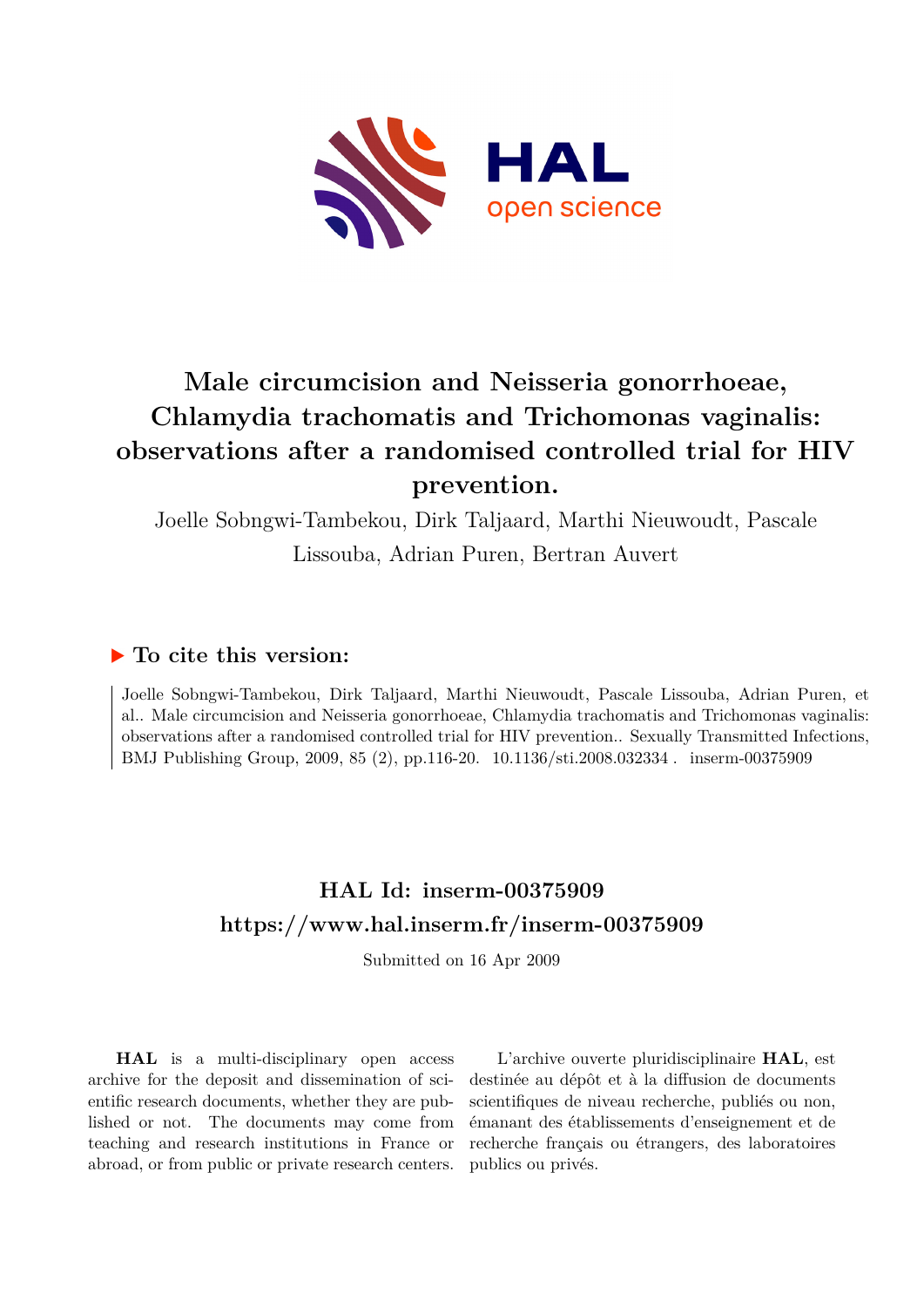

# **Male circumcision and Neisseria gonorrhoeae, Chlamydia trachomatis and Trichomonas vaginalis: observations after a randomised controlled trial for HIV prevention.**

Joelle Sobngwi-Tambekou, Dirk Taljaard, Marthi Nieuwoudt, Pascale Lissouba, Adrian Puren, Bertran Auvert

## **To cite this version:**

Joelle Sobngwi-Tambekou, Dirk Taljaard, Marthi Nieuwoudt, Pascale Lissouba, Adrian Puren, et al.. Male circumcision and Neisseria gonorrhoeae, Chlamydia trachomatis and Trichomonas vaginalis: observations after a randomised controlled trial for HIV prevention.. Sexually Transmitted Infections, BMJ Publishing Group, 2009, 85 (2), pp.116-20. 10.1136/sti.2008.032334 finserm-00375909

## **HAL Id: inserm-00375909 <https://www.hal.inserm.fr/inserm-00375909>**

Submitted on 16 Apr 2009

**HAL** is a multi-disciplinary open access archive for the deposit and dissemination of scientific research documents, whether they are published or not. The documents may come from teaching and research institutions in France or abroad, or from public or private research centers.

L'archive ouverte pluridisciplinaire **HAL**, est destinée au dépôt et à la diffusion de documents scientifiques de niveau recherche, publiés ou non, émanant des établissements d'enseignement et de recherche français ou étrangers, des laboratoires publics ou privés.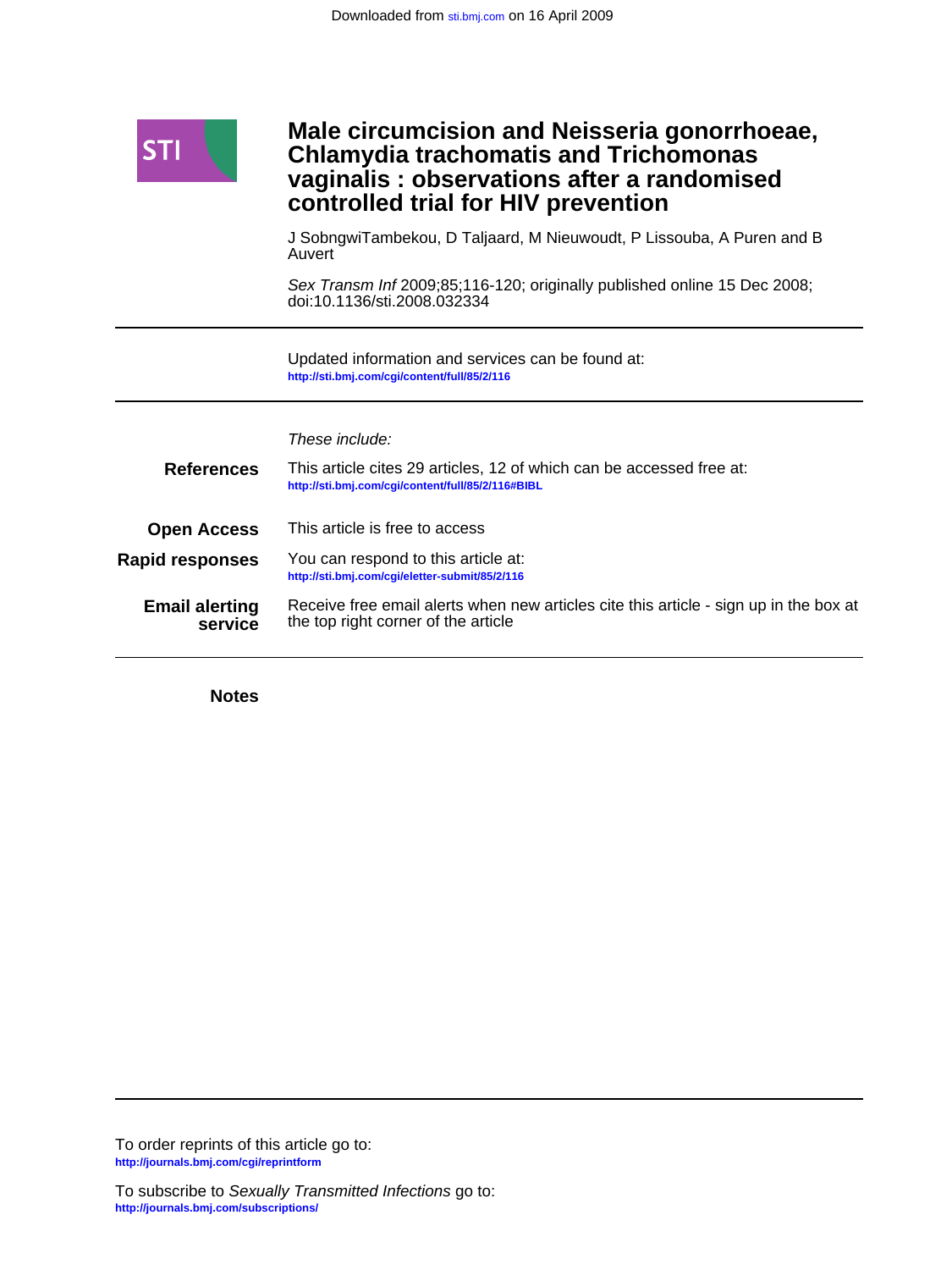

### **controlled trial for HIV prevention vaginalis : observations after a randomised Chlamydia trachomatis and Trichomonas Male circumcision and Neisseria gonorrhoeae,**

Auvert J Sobngwi Tambekou, D Taljaard, M Nieuwoudt, P Lissouba, A Puren and B

doi:10.1136/sti.2008.032334 Sex Transm Inf 2009;85;116-120; originally published online 15 Dec 2008;

**<http://sti.bmj.com/cgi/content/full/85/2/116>** Updated information and services can be found at:

These include:

| <b>References</b>                | This article cites 29 articles, 12 of which can be accessed free at:<br>http://sti.bmj.com/cqi/content/full/85/2/116#BIBL    |
|----------------------------------|------------------------------------------------------------------------------------------------------------------------------|
| <b>Open Access</b>               | This article is free to access                                                                                               |
| <b>Rapid responses</b>           | You can respond to this article at:<br>http://sti.bmj.com/cqi/eletter-submit/85/2/116                                        |
| <b>Email alerting</b><br>service | Receive free email alerts when new articles cite this article - sign up in the box at<br>the top right corner of the article |

**Notes**

**<http://journals.bmj.com/cgi/reprintform>** To order reprints of this article go to: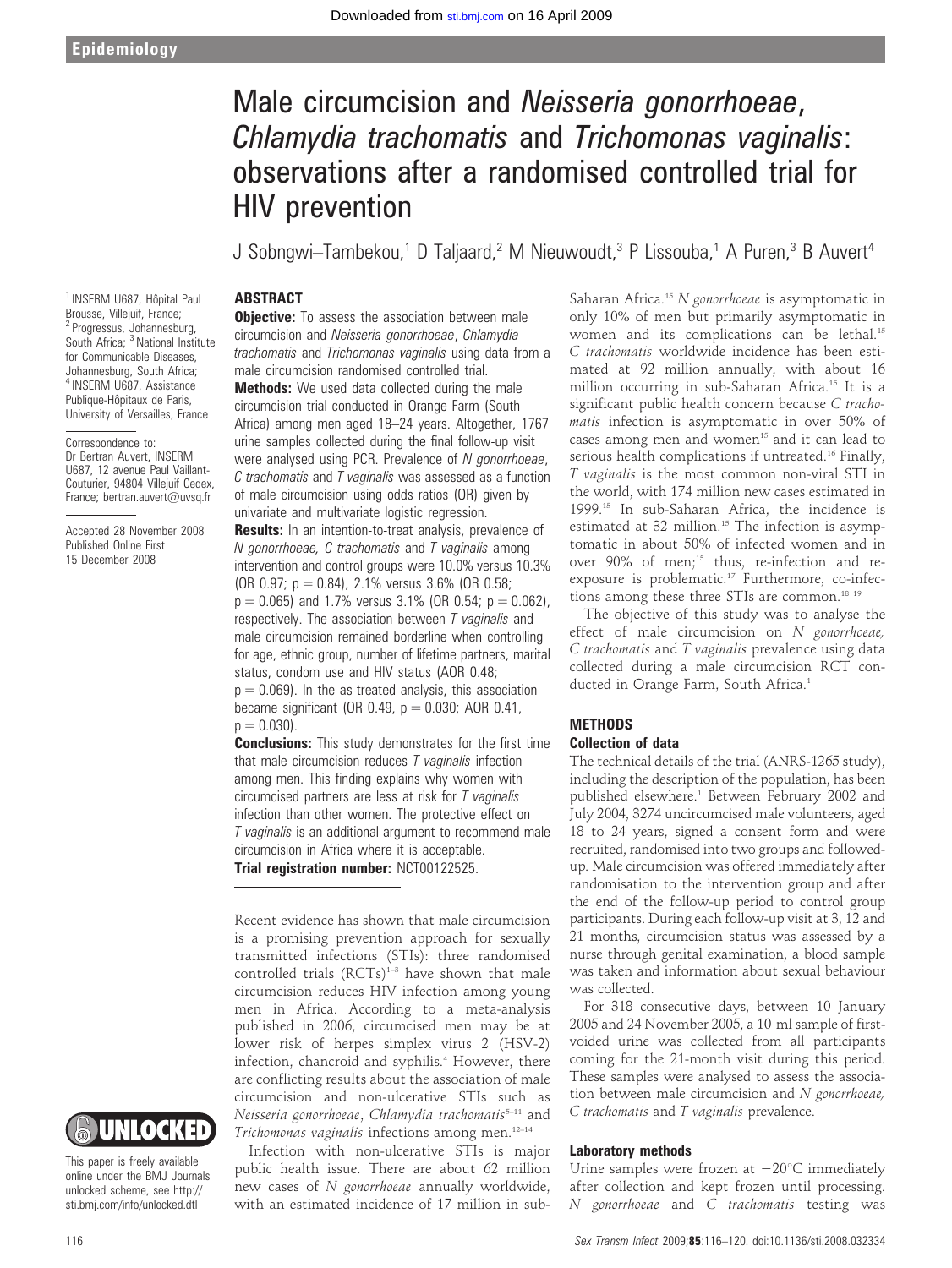# Male circumcision and Neisseria gonorrhoeae, Chlamydia trachomatis and Trichomonas vaginalis: observations after a randomised controlled trial for HIV prevention

J Sobngwi–Tambekou,<sup>1</sup> D Taljaard,<sup>2</sup> M Nieuwoudt,<sup>3</sup> P Lissouba,<sup>1</sup> A Puren,<sup>3</sup> B Auvert<sup>4</sup>

#### ABSTRACT

<sup>1</sup> INSERM U687, Hôpital Paul Brousse, Villejuif, France; <sup>2</sup> Progressus, Johannesburg, South Africa; <sup>3</sup> National Institute for Communicable Diseases, Johannesburg, South Africa; <sup>4</sup> INSERM U687, Assistance Publique-Hôpitaux de Paris, University of Versailles, France

#### Correspondence to: Dr Bertran Auvert, INSERM U687, 12 avenue Paul Vaillant-Couturier, 94804 Villejuif Cedex, France; bertran.auvert@uvsq.fr

Accepted 28 November 2008 Published Online First 15 December 2008

**Objective:** To assess the association between male circumcision and Neisseria gonorrhoeae, Chlamydia trachomatis and Trichomonas vaginalis using data from a male circumcision randomised controlled trial. **Methods:** We used data collected during the male circumcision trial conducted in Orange Farm (South Africa) among men aged 18–24 years. Altogether, 1767 urine samples collected during the final follow-up visit were analysed using PCR. Prevalence of N gonorrhoeae, C trachomatis and  $\overline{T}$  vaginalis was assessed as a function of male circumcision using odds ratios (OR) given by univariate and multivariate logistic regression.

Results: In an intention-to-treat analysis, prevalence of N gonorrhoeae,  $C$  trachomatis and  $T$  vaginalis among intervention and control groups were 10.0% versus 10.3% (OR 0.97; p = 0.84), 2.1% versus 3.6% (OR 0.58;  $p = 0.065$ ) and 1.7% versus 3.1% (OR 0.54;  $p = 0.062$ ), respectively. The association between  *vaginalis and* male circumcision remained borderline when controlling for age, ethnic group, number of lifetime partners, marital status, condom use and HIV status (AOR 0.48;  $p = 0.069$ ). In the as-treated analysis, this association became significant (OR 0.49,  $p = 0.030$ ; AOR 0.41,  $p = 0.030$ ).

**Conclusions:** This study demonstrates for the first time that male circumcision reduces  *vaginalis infection* among men. This finding explains why women with circumcised partners are less at risk for  *vaginalis* infection than other women. The protective effect on T vaginalis is an additional argument to recommend male circumcision in Africa where it is acceptable. Trial registration number: NCT00122525.

Recent evidence has shown that male circumcision is a promising prevention approach for sexually transmitted infections (STIs): three randomised controlled trials  $(RCTs)^{1-3}$  have shown that male circumcision reduces HIV infection among young men in Africa. According to a meta-analysis published in 2006, circumcised men may be at lower risk of herpes simplex virus 2 (HSV-2) infection, chancroid and syphilis.<sup>4</sup> However, there are conflicting results about the association of male circumcision and non-ulcerative STIs such as Neisseria gonorrhoeae, Chlamydia trachomatis<sup>5-11</sup> and Trichomonas vaginalis infections among men.<sup>12-14</sup>

Infection with non-ulcerative STIs is major public health issue. There are about 62 million new cases of N gonorrhoeae annually worldwide, with an estimated incidence of 17 million in sub-

Saharan Africa.<sup>15</sup> N gonorrhoeae is asymptomatic in only 10% of men but primarily asymptomatic in women and its complications can be lethal.15 C trachomatis worldwide incidence has been estimated at 92 million annually, with about 16 million occurring in sub-Saharan Africa.<sup>15</sup> It is a significant public health concern because C trachomatis infection is asymptomatic in over 50% of cases among men and women<sup>15</sup> and it can lead to serious health complications if untreated.<sup>16</sup> Finally, T vaginalis is the most common non-viral STI in the world, with 174 million new cases estimated in 1999.15 In sub-Saharan Africa, the incidence is estimated at 32 million.<sup>15</sup> The infection is asymptomatic in about 50% of infected women and in over 90% of men;<sup>15</sup> thus, re-infection and reexposure is problematic.17 Furthermore, co-infections among these three STIs are common.<sup>18 19</sup>

The objective of this study was to analyse the effect of male circumcision on N gonorrhoeae, C trachomatis and T vaginalis prevalence using data collected during a male circumcision RCT conducted in Orange Farm, South Africa.<sup>1</sup>

#### **MFTHODS**

#### Collection of data

The technical details of the trial (ANRS-1265 study), including the description of the population, has been published elsewhere.<sup>1</sup> Between February 2002 and July 2004, 3274 uncircumcised male volunteers, aged 18 to 24 years, signed a consent form and were recruited, randomised into two groups and followedup. Male circumcision was offered immediately after randomisation to the intervention group and after the end of the follow-up period to control group participants. During each follow-up visit at 3, 12 and 21 months, circumcision status was assessed by a nurse through genital examination, a blood sample was taken and information about sexual behaviour was collected.

For 318 consecutive days, between 10 January 2005 and 24 November 2005, a 10 ml sample of firstvoided urine was collected from all participants coming for the 21-month visit during this period. These samples were analysed to assess the association between male circumcision and N gonorrhoeae, C trachomatis and T vaginalis prevalence.

#### Laboratory methods

Urine samples were frozen at  $-20^{\circ}$ C immediately after collection and kept frozen until processing. N gonorrhoeae and C trachomatis testing was



This paper is freely available online under the BMJ Journals unlocked scheme, see http:// sti.bmj.com/info/unlocked.dtl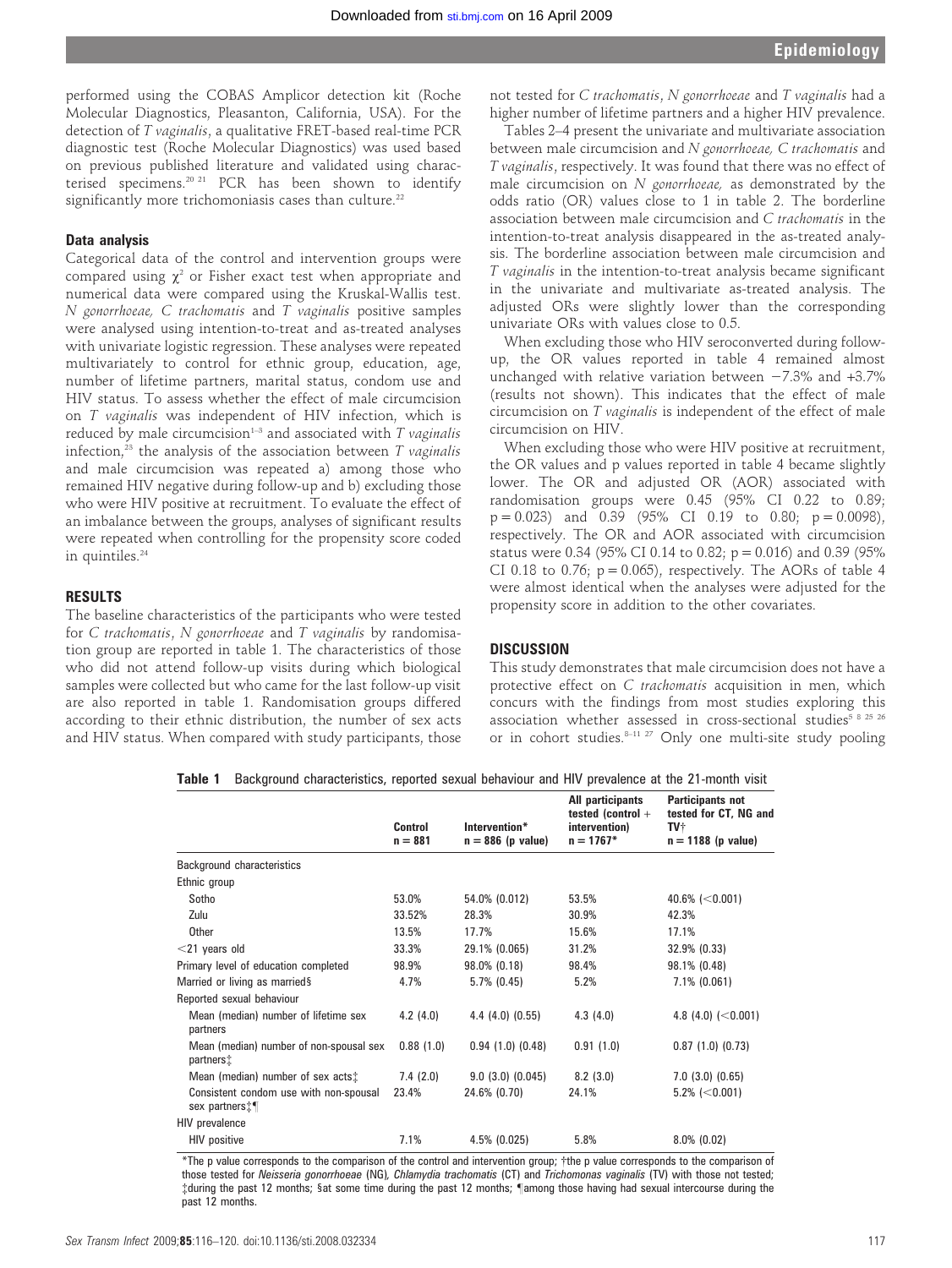performed using the COBAS Amplicor detection kit (Roche Molecular Diagnostics, Pleasanton, California, USA). For the detection of T vaginalis, a qualitative FRET-based real-time PCR diagnostic test (Roche Molecular Diagnostics) was used based on previous published literature and validated using characterised specimens.20 21 PCR has been shown to identify significantly more trichomoniasis cases than culture.<sup>22</sup>

#### Data analysis

Categorical data of the control and intervention groups were compared using  $\chi^2$  or Fisher exact test when appropriate and numerical data were compared using the Kruskal-Wallis test. N gonorrhoeae, C trachomatis and T vaginalis positive samples were analysed using intention-to-treat and as-treated analyses with univariate logistic regression. These analyses were repeated multivariately to control for ethnic group, education, age, number of lifetime partners, marital status, condom use and HIV status. To assess whether the effect of male circumcision on T vaginalis was independent of HIV infection, which is reduced by male circumcision<sup>1-3</sup> and associated with  $T$  vaginalis infection,<sup>23</sup> the analysis of the association between  $T$  vaginalis and male circumcision was repeated a) among those who remained HIV negative during follow-up and b) excluding those who were HIV positive at recruitment. To evaluate the effect of an imbalance between the groups, analyses of significant results were repeated when controlling for the propensity score coded in quintiles.<sup>24</sup>

#### RESULTS

The baseline characteristics of the participants who were tested for C trachomatis, N gonorrhoeae and T vaginalis by randomisation group are reported in table 1. The characteristics of those who did not attend follow-up visits during which biological samples were collected but who came for the last follow-up visit are also reported in table 1. Randomisation groups differed according to their ethnic distribution, the number of sex acts and HIV status. When compared with study participants, those

not tested for C trachomatis, N gonorrhoeae and T vaginalis had a higher number of lifetime partners and a higher HIV prevalence.

Tables 2–4 present the univariate and multivariate association between male circumcision and N gonorrhoeae, C trachomatis and T vaginalis, respectively. It was found that there was no effect of male circumcision on N gonorrhoeae, as demonstrated by the odds ratio (OR) values close to 1 in table 2. The borderline association between male circumcision and C trachomatis in the intention-to-treat analysis disappeared in the as-treated analysis. The borderline association between male circumcision and T vaginalis in the intention-to-treat analysis became significant in the univariate and multivariate as-treated analysis. The adjusted ORs were slightly lower than the corresponding univariate ORs with values close to 0.5.

When excluding those who HIV seroconverted during followup, the OR values reported in table 4 remained almost unchanged with relative variation between  $-7.3\%$  and  $+3.7\%$ (results not shown). This indicates that the effect of male circumcision on T vaginalis is independent of the effect of male circumcision on HIV.

When excluding those who were HIV positive at recruitment, the OR values and p values reported in table 4 became slightly lower. The OR and adjusted OR (AOR) associated with randomisation groups were 0.45 (95% CI 0.22 to 0.89;  $p = 0.023$ ) and 0.39 (95% CI 0.19 to 0.80;  $p = 0.0098$ ), respectively. The OR and AOR associated with circumcision status were 0.34 (95% CI 0.14 to 0.82;  $p = 0.016$ ) and 0.39 (95% CI 0.18 to 0.76;  $p = 0.065$ ), respectively. The AORs of table 4 were almost identical when the analyses were adjusted for the propensity score in addition to the other covariates.

#### **DISCUSSION**

This study demonstrates that male circumcision does not have a protective effect on C trachomatis acquisition in men, which concurs with the findings from most studies exploring this association whether assessed in cross-sectional studies<sup>5 8 25 26</sup> or in cohort studies. $8-11$  27 Only one multi-site study pooling

|                                                                                                        |  | All constants and the Books for any control |  |
|--------------------------------------------------------------------------------------------------------|--|---------------------------------------------|--|
| Table 1 Background characteristics, reported sexual behaviour and HIV prevalence at the 21-month visit |  |                                             |  |

|                                                         |                      |                                      | All participants<br>tested $ control +$ | <b>Participants not</b><br>tested for CT, NG and |
|---------------------------------------------------------|----------------------|--------------------------------------|-----------------------------------------|--------------------------------------------------|
|                                                         | Control<br>$n = 881$ | Intervention*<br>$n = 886$ (p value) | intervention)<br>$n = 1767*$            | TV†<br>$n = 1188$ (p value)                      |
| Background characteristics                              |                      |                                      |                                         |                                                  |
| Ethnic group                                            |                      |                                      |                                         |                                                  |
| Sotho                                                   | 53.0%                | 54.0% (0.012)                        | 53.5%                                   | $40.6\%$ ( $< 0.001$ )                           |
| Zulu                                                    | 33.52%               | 28.3%                                | 30.9%                                   | 42.3%                                            |
| Other                                                   | 13.5%                | 17.7%                                | 15.6%                                   | 17.1%                                            |
| $<$ 21 years old                                        | 33.3%                | 29.1% (0.065)                        | 31.2%                                   | 32.9% (0.33)                                     |
| Primary level of education completed                    | 98.9%                | 98.0% (0.18)                         | 98.4%                                   | 98.1% (0.48)                                     |
| Married or living as married§                           | 4.7%                 | $5.7\%$ (0.45)                       | 5.2%                                    | $7.1\%$ (0.061)                                  |
| Reported sexual behaviour                               |                      |                                      |                                         |                                                  |
| Mean (median) number of lifetime sex<br>partners        | 4.2(4.0)             | 4.4(4.0)(0.55)                       | 4.3(4.0)                                | 4.8 (4.0) $(<0.001$ )                            |
| Mean (median) number of non-spousal sex<br>partners:    | 0.88(1.0)            | 0.94(1.0)(0.48)                      | 0.91(1.0)                               | 0.87(1.0)(0.73)                                  |
| Mean (median) number of sex acts:                       | 7.4(2.0)             | 9.0(3.0)(0.045)                      | 8.2(3.0)                                | $7.0$ $(3.0)$ $(0.65)$                           |
| Consistent condom use with non-spousal<br>sex partners: | 23.4%                | 24.6% (0.70)                         | 24.1%                                   | $5.2\%$ ( $< 0.001$ )                            |
| HIV prevalence                                          |                      |                                      |                                         |                                                  |
| <b>HIV</b> positive                                     | 7.1%                 | $4.5\%$ (0.025)                      | 5.8%                                    | $8.0\%$ (0.02)                                   |

\*The p value corresponds to the comparison of the control and intervention group; {the p value corresponds to the comparison of those tested for Neisseria gonorrhoeae (NG), Chlamydia trachomatis (CT) and Trichomonas vaginalis (TV) with those not tested; {during the past 12 months; 1at some time during the past 12 months; "among those having had sexual intercourse during the past 12 months.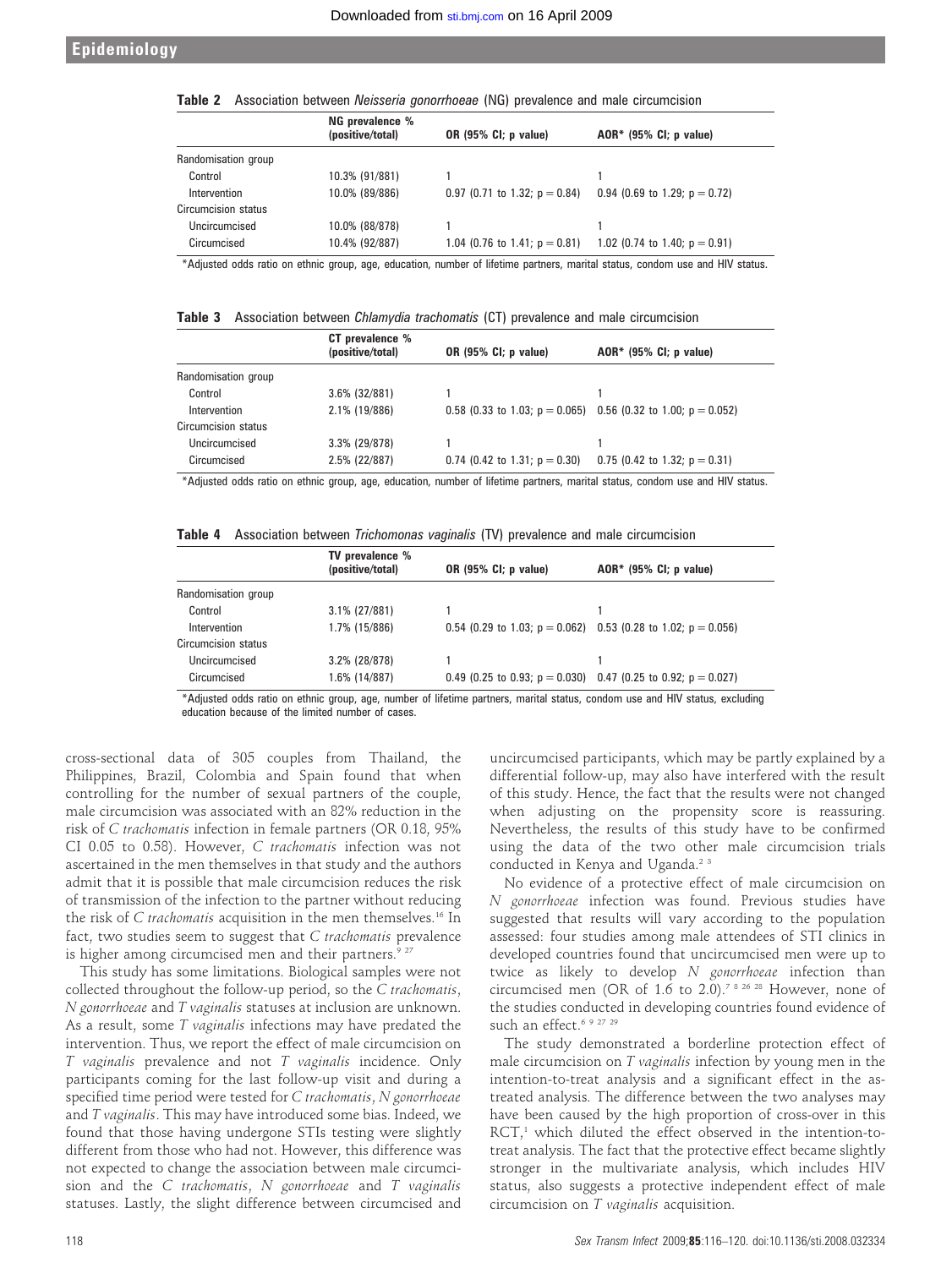|                     | NG prevalence %<br>(positive/total) | <b>OR (95% CI; p value)</b>      | AOR* (95% CI; p value)           |
|---------------------|-------------------------------------|----------------------------------|----------------------------------|
| Randomisation group |                                     |                                  |                                  |
| Control             | 10.3% (91/881)                      |                                  |                                  |
| Intervention        | 10.0% (89/886)                      | 0.97 (0.71 to 1.32; $p = 0.84$ ) | 0.94 (0.69 to 1.29; $p = 0.72$ ) |
| Circumcision status |                                     |                                  |                                  |
| Uncircumcised       | 10.0% (88/878)                      |                                  |                                  |
| Circumcised         | 10.4% (92/887)                      | 1.04 (0.76 to 1.41; $p = 0.81$ ) | 1.02 (0.74 to 1.40; $p = 0.91$ ) |

Table 2 Association between Neisseria gonorrhoeae (NG) prevalence and male circumcision

\*Adjusted odds ratio on ethnic group, age, education, number of lifetime partners, marital status, condom use and HIV status.

Table 3 Association between *Chlamydia trachomatis* (CT) prevalence and male circumcision

|                     | CT prevalence %<br>(positive/total) | <b>OR (95% CI; p value)</b>      | AOR* (95% CI; p value)                                              |
|---------------------|-------------------------------------|----------------------------------|---------------------------------------------------------------------|
| Randomisation group |                                     |                                  |                                                                     |
| Control             | $3.6\%$ (32/881)                    |                                  |                                                                     |
| Intervention        | 2.1% (19/886)                       |                                  | 0.58 (0.33 to 1.03; $p = 0.065$ ) 0.56 (0.32 to 1.00; $p = 0.052$ ) |
| Circumcision status |                                     |                                  |                                                                     |
| Uncircumcised       | 3.3% (29/878)                       |                                  |                                                                     |
| Circumcised         | 2.5% (22/887)                       | 0.74 (0.42 to 1.31; $p = 0.30$ ) | 0.75 (0.42 to 1.32; $p = 0.31$ )                                    |

\*Adjusted odds ratio on ethnic group, age, education, number of lifetime partners, marital status, condom use and HIV status.

|  | Table 4 Association between Trichomonas vaginalis (TV) prevalence and male circumcision |  |  |  |  |  |  |  |  |  |
|--|-----------------------------------------------------------------------------------------|--|--|--|--|--|--|--|--|--|
|--|-----------------------------------------------------------------------------------------|--|--|--|--|--|--|--|--|--|

|                     | TV prevalence %<br>(positive/total) | <b>OR (95% CI; p value)</b>                                         | AOR* (95% CI; p value) |
|---------------------|-------------------------------------|---------------------------------------------------------------------|------------------------|
| Randomisation group |                                     |                                                                     |                        |
| Control             | $3.1\%$ (27/881)                    |                                                                     |                        |
| Intervention        | 1.7% (15/886)                       | 0.54 (0.29 to 1.03; $p = 0.062$ ) 0.53 (0.28 to 1.02; $p = 0.056$ ) |                        |
| Circumcision status |                                     |                                                                     |                        |
| Uncircumcised       | 3.2% (28/878)                       |                                                                     |                        |
| Circumcised         | 1.6% (14/887)                       | 0.49 (0.25 to 0.93; $p = 0.030$ ) 0.47 (0.25 to 0.92; $p = 0.027$ ) |                        |

\*Adjusted odds ratio on ethnic group, age, number of lifetime partners, marital status, condom use and HIV status, excluding education because of the limited number of cases.

cross-sectional data of 305 couples from Thailand, the Philippines, Brazil, Colombia and Spain found that when controlling for the number of sexual partners of the couple, male circumcision was associated with an 82% reduction in the risk of C trachomatis infection in female partners (OR 0.18, 95% CI 0.05 to 0.58). However, C trachomatis infection was not ascertained in the men themselves in that study and the authors admit that it is possible that male circumcision reduces the risk of transmission of the infection to the partner without reducing the risk of C trachomatis acquisition in the men themselves.<sup>16</sup> In fact, two studies seem to suggest that  $C$  trachomatis prevalence is higher among circumcised men and their partners.<sup>9 27</sup>

This study has some limitations. Biological samples were not collected throughout the follow-up period, so the C trachomatis, N gonorrhoeae and T vaginalis statuses at inclusion are unknown. As a result, some T vaginalis infections may have predated the intervention. Thus, we report the effect of male circumcision on T vaginalis prevalence and not T vaginalis incidence. Only participants coming for the last follow-up visit and during a specified time period were tested for C trachomatis, N gonorrhoeae and  $T$  vaginalis. This may have introduced some bias. Indeed, we found that those having undergone STIs testing were slightly different from those who had not. However, this difference was not expected to change the association between male circumcision and the C trachomatis, N gonorrhoeae and T vaginalis statuses. Lastly, the slight difference between circumcised and

uncircumcised participants, which may be partly explained by a differential follow-up, may also have interfered with the result of this study. Hence, the fact that the results were not changed when adjusting on the propensity score is reassuring. Nevertheless, the results of this study have to be confirmed using the data of the two other male circumcision trials conducted in Kenya and Uganda.<sup>2 3</sup>

No evidence of a protective effect of male circumcision on N gonorrhoeae infection was found. Previous studies have suggested that results will vary according to the population assessed: four studies among male attendees of STI clinics in developed countries found that uncircumcised men were up to twice as likely to develop N gonorrhoeae infection than circumcised men (OR of 1.6 to 2.0).7 8 26 28 However, none of the studies conducted in developing countries found evidence of such an effect.<sup>6 9 27 29</sup>

The study demonstrated a borderline protection effect of male circumcision on  $T$  vaginalis infection by young men in the intention-to-treat analysis and a significant effect in the astreated analysis. The difference between the two analyses may have been caused by the high proportion of cross-over in this  $RCT<sub>1</sub><sup>1</sup>$  which diluted the effect observed in the intention-totreat analysis. The fact that the protective effect became slightly stronger in the multivariate analysis, which includes HIV status, also suggests a protective independent effect of male circumcision on T vaginalis acquisition.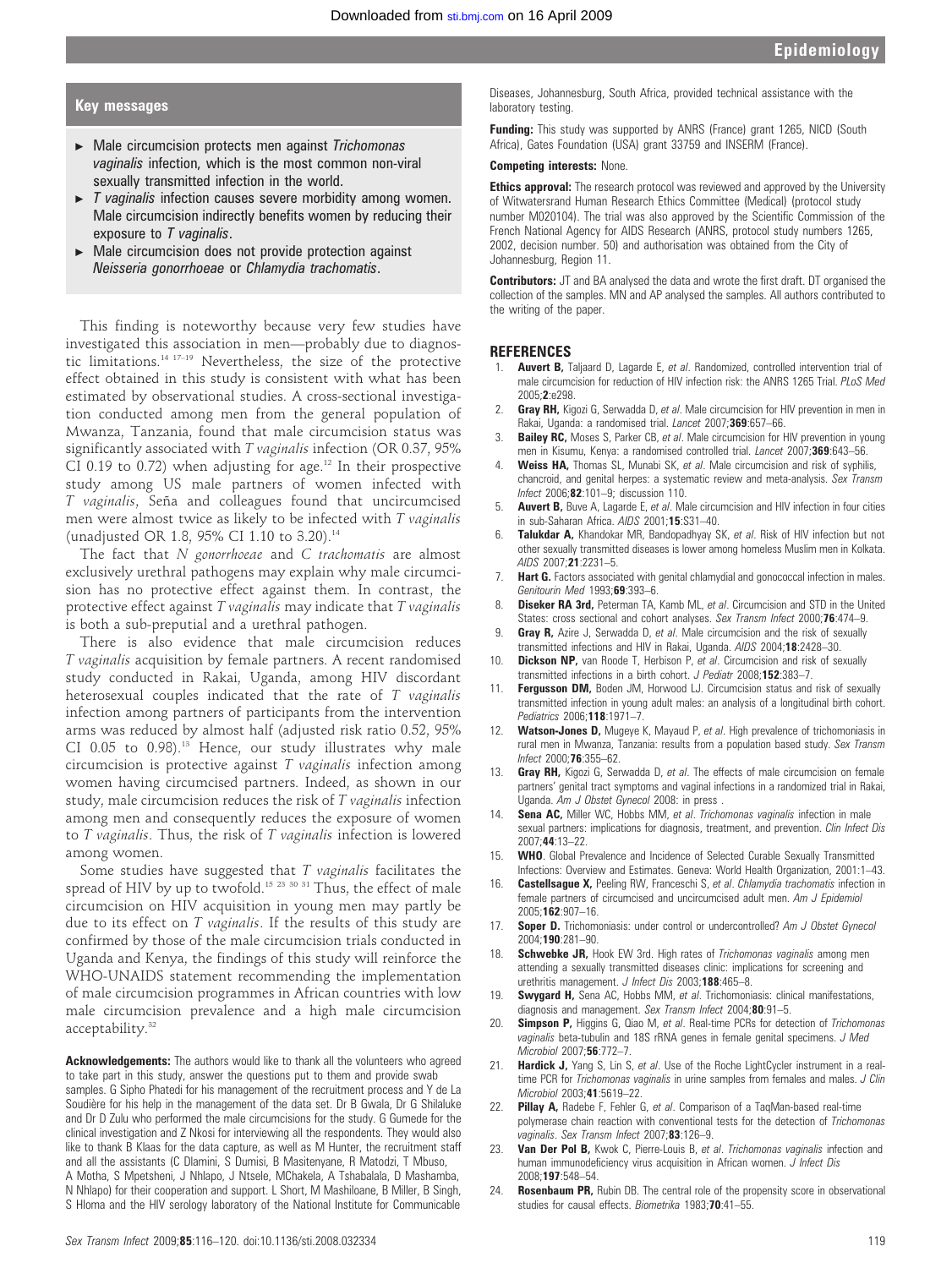#### Key messages

- $\triangleright$  Male circumcision protects men against Trichomonas vaginalis infection, which is the most common non-viral sexually transmitted infection in the world.
- T vaginalis infection causes severe morbidity among women. Male circumcision indirectly benefits women by reducing their exposure to  *vaginalis.*
- $\blacktriangleright$  Male circumcision does not provide protection against Neisseria gonorrhoeae or Chlamydia trachomatis.

This finding is noteworthy because very few studies have investigated this association in men—probably due to diagnostic limitations.14 17–19 Nevertheless, the size of the protective effect obtained in this study is consistent with what has been estimated by observational studies. A cross-sectional investigation conducted among men from the general population of Mwanza, Tanzania, found that male circumcision status was significantly associated with T vaginalis infection (OR 0.37, 95%  $CI$  0.19 to 0.72) when adjusting for age.<sup>12</sup> In their prospective study among US male partners of women infected with T vaginalis, Seña and colleagues found that uncircumcised men were almost twice as likely to be infected with T vaginalis (unadjusted OR 1.8, 95% CI 1.10 to 3.20).14

The fact that  $N$  gonorrhoeae and  $C$  trachomatis are almost exclusively urethral pathogens may explain why male circumcision has no protective effect against them. In contrast, the protective effect against  $T$  vaginalis may indicate that  $T$  vaginalis is both a sub-preputial and a urethral pathogen.

There is also evidence that male circumcision reduces T vaginalis acquisition by female partners. A recent randomised study conducted in Rakai, Uganda, among HIV discordant heterosexual couples indicated that the rate of T vaginalis infection among partners of participants from the intervention arms was reduced by almost half (adjusted risk ratio 0.52, 95% CI 0.05 to 0.98).<sup>13</sup> Hence, our study illustrates why male circumcision is protective against  $T$  vaginalis infection among women having circumcised partners. Indeed, as shown in our study, male circumcision reduces the risk of T vaginalis infection among men and consequently reduces the exposure of women to  $T$  vaginalis. Thus, the risk of  $T$  vaginalis infection is lowered among women.

Some studies have suggested that  $T$  vaginalis facilitates the spread of HIV by up to twofold.<sup>15 23 30 31</sup> Thus, the effect of male circumcision on HIV acquisition in young men may partly be due to its effect on  $T$  vaginalis. If the results of this study are confirmed by those of the male circumcision trials conducted in Uganda and Kenya, the findings of this study will reinforce the WHO-UNAIDS statement recommending the implementation of male circumcision programmes in African countries with low male circumcision prevalence and a high male circumcision acceptability.<sup>32</sup>

Acknowledgements: The authors would like to thank all the volunteers who agreed to take part in this study, answer the questions put to them and provide swab samples. G Sipho Phatedi for his management of the recruitment process and Y de La Soudière for his help in the management of the data set. Dr B Gwala, Dr G Shilaluke and Dr D Zulu who performed the male circumcisions for the study. G Gumede for the clinical investigation and Z Nkosi for interviewing all the respondents. They would also like to thank B Klaas for the data capture, as well as M Hunter, the recruitment staff and all the assistants (C Dlamini, S Dumisi, B Masitenyane, R Matodzi, T Mbuso, A Motha, S Mpetsheni, J Nhlapo, J Ntsele, MChakela, A Tshabalala, D Mashamba, N Nhlapo) for their cooperation and support. L Short, M Mashiloane, B Miller, B Singh, S Hloma and the HIV serology laboratory of the National Institute for Communicable

Diseases, Johannesburg, South Africa, provided technical assistance with the laboratory testing.

**Funding:** This study was supported by ANRS (France) grant 1265, NICD (South Africa), Gates Foundation (USA) grant 33759 and INSERM (France).

#### Competing interests: None.

**Ethics approval:** The research protocol was reviewed and approved by the University of Witwatersrand Human Research Ethics Committee (Medical) (protocol study number M020104). The trial was also approved by the Scientific Commission of the French National Agency for AIDS Research (ANRS, protocol study numbers 1265, 2002, decision number. 50) and authorisation was obtained from the City of Johannesburg, Region 11.

Contributors: JT and BA analysed the data and wrote the first draft. DT organised the collection of the samples. MN and AP analysed the samples. All authors contributed to the writing of the paper.

#### **REFERENCES**

- Auvert B, Taljaard D, Lagarde E, et al. Randomized, controlled intervention trial of male circumcision for reduction of HIV infection risk: the ANRS 1265 Trial. PLoS Med 2005;2:e298.
- **Gray RH,** Kigozi G, Serwadda D, et al. Male circumcision for HIV prevention in men in Rakai, Uganda: a randomised trial. Lancet 2007;369:657–66.
- 3. **Bailey RC,** Moses S, Parker CB, et al. Male circumcision for HIV prevention in young men in Kisumu, Kenya: a randomised controlled trial. Lancet 2007;369:643-56.
- Weiss HA, Thomas SL, Munabi SK, et al. Male circumcision and risk of syphilis, chancroid, and genital herpes: a systematic review and meta-analysis. Sex Transm Infect 2006;82:101–9; discussion 110.
- 5. **Auvert B,** Buve A, Lagarde E, et al. Male circumcision and HIV infection in four cities in sub-Saharan Africa. AIDS 2001;15:S31–40.
- 6. Talukdar A, Khandokar MR, Bandopadhyay SK, et al. Risk of HIV infection but not other sexually transmitted diseases is lower among homeless Muslim men in Kolkata. AIDS 2007;21:2231–5.
- 7. Hart G. Factors associated with genital chlamydial and gonococcal infection in males. Genitourin Med 1993;69:393–6.
- 8. **Diseker RA 3rd, Peterman TA, Kamb ML, et al. Circumcision and STD in the United** States: cross sectional and cohort analyses. Sex Transm Infect 2000;76:474–9.
- **Gray R,** Azire J, Serwadda D, et al. Male circumcision and the risk of sexually transmitted infections and HIV in Rakai, Uganda. AIDS 2004;18:2428–30.
- 10. **Dickson NP,** van Roode T, Herbison P, et al. Circumcision and risk of sexually transmitted infections in a birth cohort. J Pediatr 2008;152:383-7.
- 11. Fergusson DM, Boden JM, Horwood LJ. Circumcision status and risk of sexually transmitted infection in young adult males: an analysis of a longitudinal birth cohort. Pediatrics 2006;118:1971–7.
- Watson-Jones D, Mugeye K, Mayaud P, et al. High prevalence of trichomoniasis in rural men in Mwanza, Tanzania: results from a population based study. Sex Transm Infect 2000;76:355–62.
- Gray RH, Kigozi G, Serwadda D, et al. The effects of male circumcision on female partners' genital tract symptoms and vaginal infections in a randomized trial in Rakai, Uganda. Am J Obstet Gynecol 2008: in press.
- 14. Sena AC, Miller WC, Hobbs MM, et al. Trichomonas vaginalis infection in male sexual partners: implications for diagnosis, treatment, and prevention. Clin Infect Dis 2007;44:13–22.
- 15. **WHO.** Global Prevalence and Incidence of Selected Curable Sexually Transmitted Infections: Overview and Estimates. Geneva: World Health Organization, 2001:1–43.
- 16. **Castellsague X,** Peeling RW, Franceschi S, et al. Chlamydia trachomatis infection in female partners of circumcised and uncircumcised adult men. Am J Epidemiol 2005;162:907–16.
- 17. Soper D. Trichomoniasis: under control or undercontrolled? Am J Obstet Gynecol 2004;190:281–90.
- 18. Schwebke JR, Hook EW 3rd. High rates of Trichomonas vaginalis among men attending a sexually transmitted diseases clinic: implications for screening and urethritis management. J Infect Dis 2003;188:465-8.
- 19. Swygard H, Sena AC, Hobbs MM, et al. Trichomoniasis: clinical manifestations, diagnosis and management. Sex Transm Infect 2004;80:91-5.
- 20. **Simpson P,** Higgins G, Qiao M, et al. Real-time PCRs for detection of Trichomonas vaginalis beta-tubulin and 18S rRNA genes in female genital specimens. J Med Microbiol 2007;56:772–7.
- 21. **Hardick J,** Yang S, Lin S, et al. Use of the Roche LightCycler instrument in a realtime PCR for Trichomonas vaginalis in urine samples from females and males. J Clin Microbiol 2003;41:5619–22.
- Pillay A, Radebe F, Fehler G, et al. Comparison of a TaqMan-based real-time polymerase chain reaction with conventional tests for the detection of Trichomonas vaginalis. Sex Transm Infect 2007;83:126-9.
- 23. Van Der Pol B, Kwok C, Pierre-Louis B, et al. Trichomonas vaginalis infection and human immunodeficiency virus acquisition in African women. J Infect Dis 2008;197:548–54.
- 24. **Rosenbaum PR,** Rubin DB. The central role of the propensity score in observational studies for causal effects. Biometrika 1983;70:41–55.